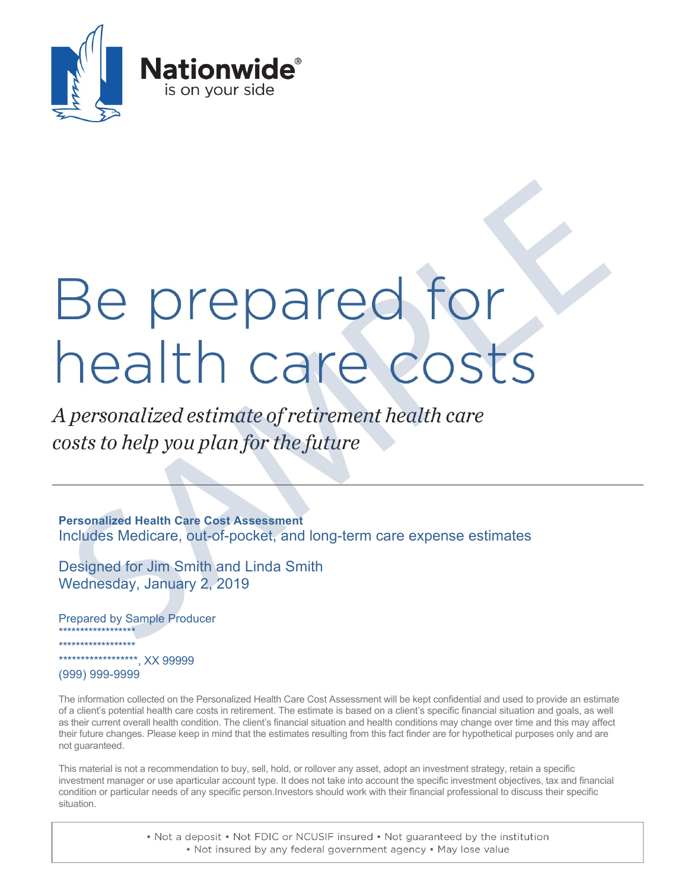

# Be prepared for health care costs

A personalized estimate of retirement health care costs to help you plan for the future

**Personalized Health Care Cost Assessment** Includes Medicare, out-of-pocket, and long-term care expense estimates

Designed for Jim Smith and Linda Smith Wednesday, January 2, 2019

Prepared by Sample Producer \*\*\*\*\*\*\*\*\*\*\*\*\*\*\*\*\*\* \*\*\*\*\*\*\*\*\*\*\*\*\*\*\*\*\*\* \*\*\*\*\*\*\*\*\*\*\*\*\*\*\*\*\*\*, XX 99999

(999) 999-9999

The information collected on the Personalized Health Care Cost Assessment will be kept confidential and used to provide an estimate of a client's potential health care costs in retirement. The estimate is based on a client's specific financial situation and goals, as well as their current overall health condition. The client's financial situation and health conditions may change over time and this may affect their future changes. Please keep in mind that the estimates resulting from this fact finder are for hypothetical purposes only and are not guaranteed.

This material is not a recommendation to buy, sell, hold, or rollover any asset, adopt an investment strategy, retain a specific investment manager or use aparticular account type. It does not take into account the specific investment objectives, tax and financial condition or particular needs of any specific person.Investors should work with their financial professional to discuss their specific situation.

> . Not a deposit . Not FDIC or NCUSIF insured . Not guaranteed by the institution . Not insured by any federal government agency . May lose value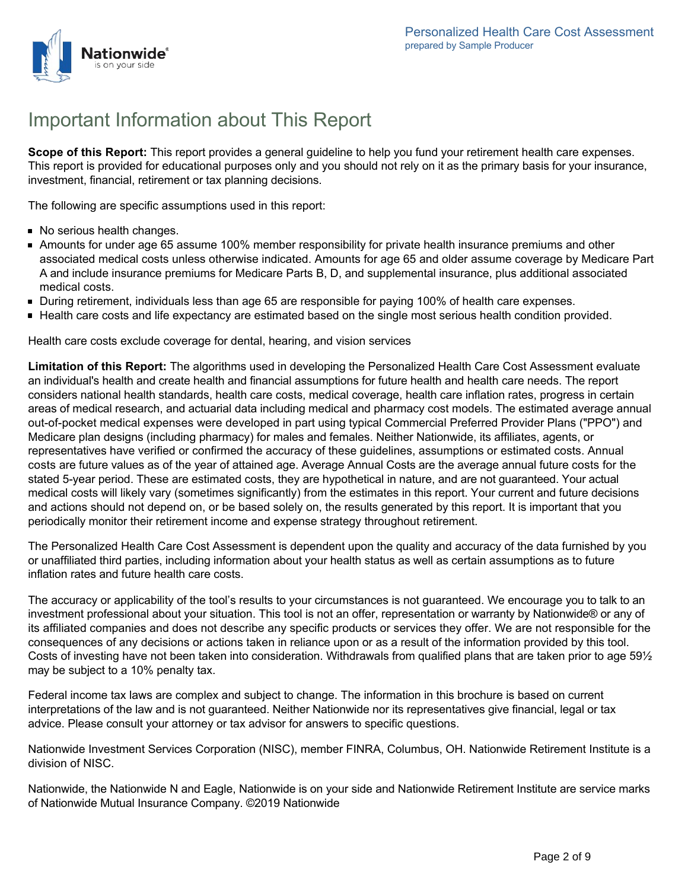

# Important Information about This Report

**Scope of this Report:** This report provides a general guideline to help you fund your retirement health care expenses. This report is provided for educational purposes only and you should not rely on it as the primary basis for your insurance, investment, financial, retirement or tax planning decisions.

The following are specific assumptions used in this report:

- No serious health changes.
- Amounts for under age 65 assume 100% member responsibility for private health insurance premiums and other associated medical costs unless otherwise indicated. Amounts for age 65 and older assume coverage by Medicare Part A and include insurance premiums for Medicare Parts B, D, and supplemental insurance, plus additional associated medical costs.
- During retirement, individuals less than age 65 are responsible for paying 100% of health care expenses.
- Health care costs and life expectancy are estimated based on the single most serious health condition provided.

Health care costs exclude coverage for dental, hearing, and vision services

**Limitation of this Report:** The algorithms used in developing the Personalized Health Care Cost Assessment evaluate an individual's health and create health and financial assumptions for future health and health care needs. The report considers national health standards, health care costs, medical coverage, health care inflation rates, progress in certain areas of medical research, and actuarial data including medical and pharmacy cost models. The estimated average annual out-of-pocket medical expenses were developed in part using typical Commercial Preferred Provider Plans ("PPO") and Medicare plan designs (including pharmacy) for males and females. Neither Nationwide, its affiliates, agents, or representatives have verified or confirmed the accuracy of these guidelines, assumptions or estimated costs. Annual costs are future values as of the year of attained age. Average Annual Costs are the average annual future costs for the stated 5-year period. These are estimated costs, they are hypothetical in nature, and are not guaranteed. Your actual medical costs will likely vary (sometimes significantly) from the estimates in this report. Your current and future decisions and actions should not depend on, or be based solely on, the results generated by this report. It is important that you periodically monitor their retirement income and expense strategy throughout retirement.

The Personalized Health Care Cost Assessment is dependent upon the quality and accuracy of the data furnished by you or unaffiliated third parties, including information about your health status as well as certain assumptions as to future inflation rates and future health care costs.

The accuracy or applicability of the tool's results to your circumstances is not guaranteed. We encourage you to talk to an investment professional about your situation. This tool is not an offer, representation or warranty by Nationwide® or any of its affiliated companies and does not describe any specific products or services they offer. We are not responsible for the consequences of any decisions or actions taken in reliance upon or as a result of the information provided by this tool. Costs of investing have not been taken into consideration. Withdrawals from qualified plans that are taken prior to age 59½ may be subject to a 10% penalty tax.

Federal income tax laws are complex and subject to change. The information in this brochure is based on current interpretations of the law and is not guaranteed. Neither Nationwide nor its representatives give financial, legal or tax advice. Please consult your attorney or tax advisor for answers to specific questions.

Nationwide Investment Services Corporation (NISC), member FINRA, Columbus, OH. Nationwide Retirement Institute is a division of NISC.

Nationwide, the Nationwide N and Eagle, Nationwide is on your side and Nationwide Retirement Institute are service marks of Nationwide Mutual Insurance Company. ©2019 Nationwide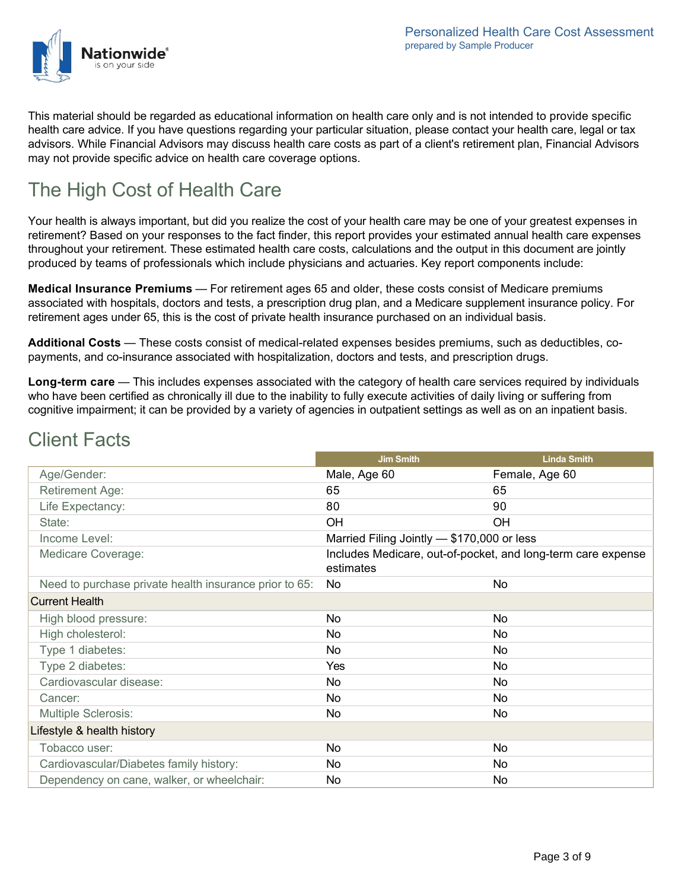

This material should be regarded as educational information on health care only and is not intended to provide specific health care advice. If you have questions regarding your particular situation, please contact your health care, legal or tax advisors. While Financial Advisors may discuss health care costs as part of a client's retirement plan, Financial Advisors may not provide specific advice on health care coverage options.

# The High Cost of Health Care

Your health is always important, but did you realize the cost of your health care may be one of your greatest expenses in retirement? Based on your responses to the fact finder, this report provides your estimated annual health care expenses throughout your retirement. These estimated health care costs, calculations and the output in this document are jointly produced by teams of professionals which include physicians and actuaries. Key report components include:

**Medical Insurance Premiums** — For retirement ages 65 and older, these costs consist of Medicare premiums associated with hospitals, doctors and tests, a prescription drug plan, and a Medicare supplement insurance policy. For retirement ages under 65, this is the cost of private health insurance purchased on an individual basis.

**Additional Costs** — These costs consist of medical-related expenses besides premiums, such as deductibles, copayments, and co-insurance associated with hospitalization, doctors and tests, and prescription drugs.

**Long-term care** — This includes expenses associated with the category of health care services required by individuals who have been certified as chronically ill due to the inability to fully execute activities of daily living or suffering from cognitive impairment; it can be provided by a variety of agencies in outpatient settings as well as on an inpatient basis.

|                                                        | <b>Jim Smith</b>                                                          | <b>Linda Smith</b> |  |  |  |
|--------------------------------------------------------|---------------------------------------------------------------------------|--------------------|--|--|--|
| Age/Gender:                                            | Male, Age 60                                                              | Female, Age 60     |  |  |  |
| Retirement Age:                                        | 65                                                                        | 65                 |  |  |  |
| Life Expectancy:                                       | 80                                                                        | 90                 |  |  |  |
| State:                                                 | OH                                                                        | OH                 |  |  |  |
| Income Level:                                          | Married Filing Jointly - \$170,000 or less                                |                    |  |  |  |
| Medicare Coverage:                                     | Includes Medicare, out-of-pocket, and long-term care expense<br>estimates |                    |  |  |  |
| Need to purchase private health insurance prior to 65: | No                                                                        | No                 |  |  |  |
| <b>Current Health</b>                                  |                                                                           |                    |  |  |  |
| High blood pressure:                                   | No                                                                        | No                 |  |  |  |
| High cholesterol:                                      | No                                                                        | No                 |  |  |  |
| Type 1 diabetes:                                       | No                                                                        | No                 |  |  |  |
| Type 2 diabetes:                                       | Yes                                                                       | No                 |  |  |  |
| Cardiovascular disease:                                | No                                                                        | No                 |  |  |  |
| Cancer:                                                | No                                                                        | No                 |  |  |  |
| <b>Multiple Sclerosis:</b>                             | No                                                                        | No                 |  |  |  |
| Lifestyle & health history                             |                                                                           |                    |  |  |  |
| Tobacco user:                                          | No                                                                        | No                 |  |  |  |
| Cardiovascular/Diabetes family history:                | No.                                                                       | No                 |  |  |  |
| Dependency on cane, walker, or wheelchair:             | No                                                                        | No                 |  |  |  |

# Client Facts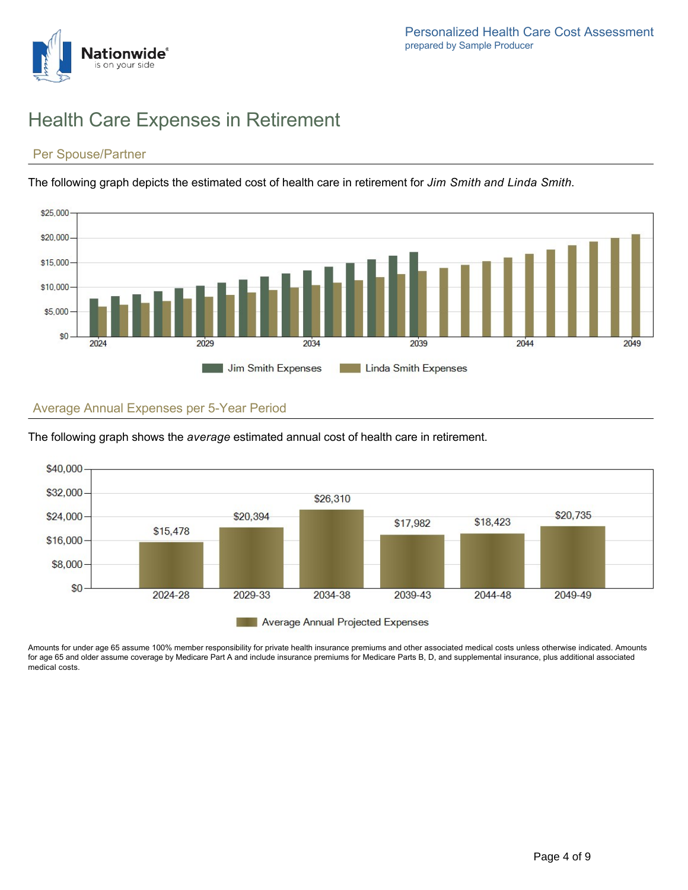# Health Care Expenses in Retirement

## Per Spouse/Partner

**Jationwide**'

The following graph depicts the estimated cost of health care in retirement for *Jim Smith and Linda Smith*.



## Average Annual Expenses per 5-Year Period



The following graph shows the *average* estimated annual cost of health care in retirement.

Amounts for under age 65 assume 100% member responsibility for private health insurance premiums and other associated medical costs unless otherwise indicated. Amounts for age 65 and older assume coverage by Medicare Part A and include insurance premiums for Medicare Parts B, D, and supplemental insurance, plus additional associated medical costs.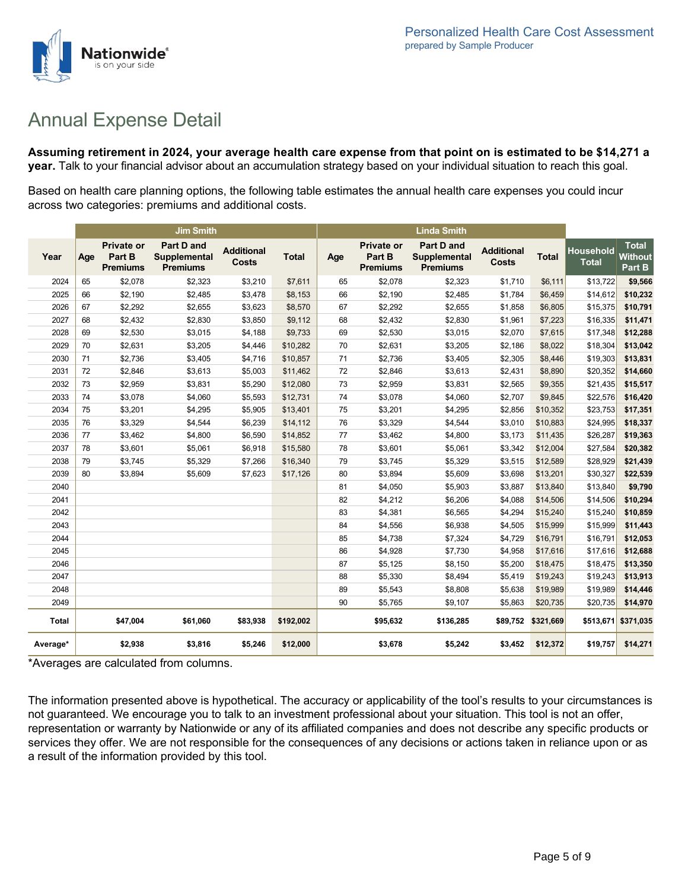

# Annual Expense Detail

**Assuming retirement in 2024, your average health care expense from that point on is estimated to be \$14,271 a year.** Talk to your financial advisor about an accumulation strategy based on your individual situation to reach this goal.

Based on health care planning options, the following table estimates the annual health care expenses you could incur across two categories: premiums and additional costs.

|              |     |                                                | <b>Jim Smith</b>                                     |                                   |              |     |                                                | <b>Linda Smith</b>                            |                                   |                    |                                  |                                          |
|--------------|-----|------------------------------------------------|------------------------------------------------------|-----------------------------------|--------------|-----|------------------------------------------------|-----------------------------------------------|-----------------------------------|--------------------|----------------------------------|------------------------------------------|
| Year         | Age | <b>Private or</b><br>Part B<br><b>Premiums</b> | <b>Part D and</b><br>Supplemental<br><b>Premiums</b> | <b>Additional</b><br><b>Costs</b> | <b>Total</b> | Age | <b>Private or</b><br>Part B<br><b>Premiums</b> | Part D and<br>Supplemental<br><b>Premiums</b> | <b>Additional</b><br><b>Costs</b> | <b>Total</b>       | <b>Household</b><br><b>Total</b> | <b>Total</b><br><b>Without</b><br>Part B |
| 2024         | 65  | \$2,078                                        | \$2,323                                              | \$3,210                           | \$7,611      | 65  | \$2,078                                        | \$2,323                                       | \$1,710                           | \$6,111            | \$13,722                         | \$9,566                                  |
| 2025         | 66  | \$2,190                                        | \$2,485                                              | \$3,478                           | \$8,153      | 66  | \$2,190                                        | \$2,485                                       | \$1,784                           | \$6,459            | \$14,612                         | \$10,232                                 |
| 2026         | 67  | \$2,292                                        | \$2,655                                              | \$3,623                           | \$8,570      | 67  | \$2,292                                        | \$2,655                                       | \$1,858                           | \$6,805            | \$15,375                         | \$10,791                                 |
| 2027         | 68  | \$2,432                                        | \$2,830                                              | \$3,850                           | \$9,112      | 68  | \$2,432                                        | \$2,830                                       | \$1,961                           | \$7,223            | \$16,335                         | \$11,471                                 |
| 2028         | 69  | \$2,530                                        | \$3,015                                              | \$4,188                           | \$9,733      | 69  | \$2,530                                        | \$3,015                                       | \$2,070                           | \$7,615            | \$17,348                         | \$12,288                                 |
| 2029         | 70  | \$2,631                                        | \$3,205                                              | \$4,446                           | \$10,282     | 70  | \$2,631                                        | \$3,205                                       | \$2,186                           | \$8,022            | \$18,304                         | \$13,042                                 |
| 2030         | 71  | \$2,736                                        | \$3,405                                              | \$4,716                           | \$10,857     | 71  | \$2,736                                        | \$3,405                                       | \$2,305                           | \$8,446            | \$19,303                         | \$13,831                                 |
| 2031         | 72  | \$2,846                                        | \$3,613                                              | \$5,003                           | \$11,462     | 72  | \$2,846                                        | \$3,613                                       | \$2,431                           | \$8,890            | \$20,352                         | \$14,660                                 |
| 2032         | 73  | \$2,959                                        | \$3,831                                              | \$5,290                           | \$12,080     | 73  | \$2,959                                        | \$3,831                                       | \$2,565                           | \$9,355            | \$21,435                         | \$15,517                                 |
| 2033         | 74  | \$3,078                                        | \$4,060                                              | \$5,593                           | \$12,731     | 74  | \$3,078                                        | \$4,060                                       | \$2,707                           | \$9,845            | \$22,576                         | \$16,420                                 |
| 2034         | 75  | \$3,201                                        | \$4,295                                              | \$5,905                           | \$13,401     | 75  | \$3,201                                        | \$4,295                                       | \$2,856                           | \$10,352           | \$23,753                         | \$17,351                                 |
| 2035         | 76  | \$3,329                                        | \$4,544                                              | \$6,239                           | \$14,112     | 76  | \$3,329                                        | \$4,544                                       | \$3,010                           | \$10,883           | \$24,995                         | \$18,337                                 |
| 2036         | 77  | \$3,462                                        | \$4,800                                              | \$6,590                           | \$14,852     | 77  | \$3,462                                        | \$4,800                                       | \$3,173                           | \$11,435           | \$26,287                         | \$19,363                                 |
| 2037         | 78  | \$3,601                                        | \$5,061                                              | \$6,918                           | \$15,580     | 78  | \$3,601                                        | \$5,061                                       | \$3,342                           | \$12,004           | \$27,584                         | \$20,382                                 |
| 2038         | 79  | \$3,745                                        | \$5,329                                              | \$7,266                           | \$16,340     | 79  | \$3,745                                        | \$5,329                                       | \$3,515                           | \$12,589           | \$28,929                         | \$21,439                                 |
| 2039         | 80  | \$3,894                                        | \$5,609                                              | \$7,623                           | \$17,126     | 80  | \$3,894                                        | \$5,609                                       | \$3,698                           | \$13,201           | \$30,327                         | \$22,539                                 |
| 2040         |     |                                                |                                                      |                                   |              | 81  | \$4,050                                        | \$5,903                                       | \$3,887                           | \$13,840           | \$13,840                         | \$9,790                                  |
| 2041         |     |                                                |                                                      |                                   |              | 82  | \$4,212                                        | \$6,206                                       | \$4,088                           | \$14,506           | \$14,506                         | \$10,294                                 |
| 2042         |     |                                                |                                                      |                                   |              | 83  | \$4,381                                        | \$6,565                                       | \$4,294                           | \$15,240           | \$15,240                         | \$10,859                                 |
| 2043         |     |                                                |                                                      |                                   |              | 84  | \$4,556                                        | \$6,938                                       | \$4,505                           | \$15,999           | \$15,999                         | \$11,443                                 |
| 2044         |     |                                                |                                                      |                                   |              | 85  | \$4,738                                        | \$7,324                                       | \$4,729                           | \$16,791           | \$16,791                         | \$12,053                                 |
| 2045         |     |                                                |                                                      |                                   |              | 86  | \$4,928                                        | \$7,730                                       | \$4,958                           | \$17,616           | \$17,616                         | \$12,688                                 |
| 2046         |     |                                                |                                                      |                                   |              | 87  | \$5,125                                        | \$8,150                                       | \$5,200                           | \$18,475           | \$18,475                         | \$13,350                                 |
| 2047         |     |                                                |                                                      |                                   |              | 88  | \$5,330                                        | \$8,494                                       | \$5,419                           | \$19,243           | \$19,243                         | \$13,913                                 |
| 2048         |     |                                                |                                                      |                                   |              | 89  | \$5,543                                        | \$8,808                                       | \$5,638                           | \$19,989           | \$19,989                         | \$14,446                                 |
| 2049         |     |                                                |                                                      |                                   |              | 90  | \$5,765                                        | \$9,107                                       | \$5,863                           | \$20,735           | \$20,735                         | \$14,970                                 |
| <b>Total</b> |     | \$47,004                                       | \$61,060                                             | \$83,938                          | \$192,002    |     | \$95,632                                       | \$136,285                                     |                                   | \$89,752 \$321,669 |                                  | \$513,671 \$371,035                      |
| Average*     |     | \$2,938                                        | \$3,816                                              | \$5,246                           | \$12,000     |     | \$3,678                                        | \$5,242                                       | \$3,452                           | \$12,372           | \$19,757                         | \$14,271                                 |

\*Averages are calculated from columns.

The information presented above is hypothetical. The accuracy or applicability of the tool's results to your circumstances is not guaranteed. We encourage you to talk to an investment professional about your situation. This tool is not an offer, representation or warranty by Nationwide or any of its affiliated companies and does not describe any specific products or services they offer. We are not responsible for the consequences of any decisions or actions taken in reliance upon or as a result of the information provided by this tool.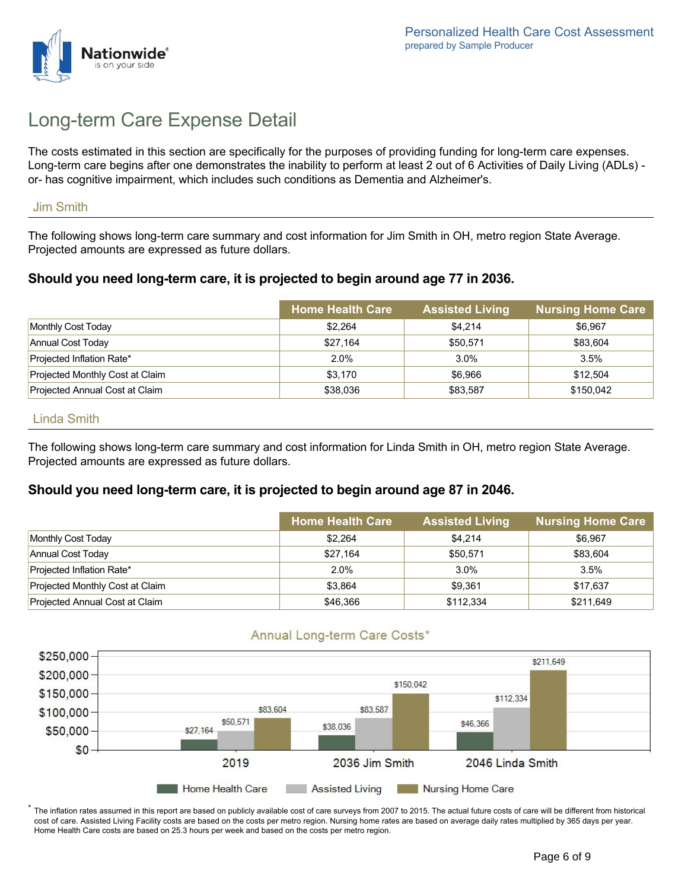

# Long-term Care Expense Detail

The costs estimated in this section are specifically for the purposes of providing funding for long-term care expenses. Long-term care begins after one demonstrates the inability to perform at least 2 out of 6 Activities of Daily Living (ADLs) or- has cognitive impairment, which includes such conditions as Dementia and Alzheimer's.

#### Jim Smith

The following shows long-term care summary and cost information for Jim Smith in OH, metro region State Average. Projected amounts are expressed as future dollars.

## **Should you need long-term care, it is projected to begin around age 77 in 2036.**

|                                 | <b>Home Health Care</b> | <b>Assisted Living</b> | <b>Nursing Home Care</b> |
|---------------------------------|-------------------------|------------------------|--------------------------|
| Monthly Cost Today              | \$2,264                 | \$4.214                | \$6,967                  |
| Annual Cost Today               | \$27,164                | \$50,571               | \$83,604                 |
| Projected Inflation Rate*       | 2.0%                    | $3.0\%$                | 3.5%                     |
| Projected Monthly Cost at Claim | \$3,170                 | \$6.966                | \$12,504                 |
| Projected Annual Cost at Claim  | \$38,036                | \$83,587               | \$150,042                |

#### Linda Smith

The following shows long-term care summary and cost information for Linda Smith in OH, metro region State Average. Projected amounts are expressed as future dollars.

## **Should you need long-term care, it is projected to begin around age 87 in 2046.**

|                                 | <b>Home Health Care</b> | <b>Assisted Living</b> | <b>Nursing Home Care</b> |
|---------------------------------|-------------------------|------------------------|--------------------------|
| Monthly Cost Today              | \$2,264                 | \$4,214                | \$6,967                  |
| Annual Cost Today               | \$27,164                | \$50,571               | \$83.604                 |
| Projected Inflation Rate*       | 2.0%                    | 3.0%                   | 3.5%                     |
| Projected Monthly Cost at Claim | \$3.864                 | \$9.361                | \$17,637                 |
| Projected Annual Cost at Claim  | \$46,366                | \$112,334              | \$211,649                |

## Annual Long-term Care Costs\*



 $^\ast$  The inflation rates assumed in this report are based on publicly available cost of care surveys from 2007 to 2015. The actual future costs of care will be different from historical cost of care. Assisted Living Facility costs are based on the costs per metro region. Nursing home rates are based on average daily rates multiplied by 365 days per year. Home Health Care costs are based on 25.3 hours per week and based on the costs per metro region.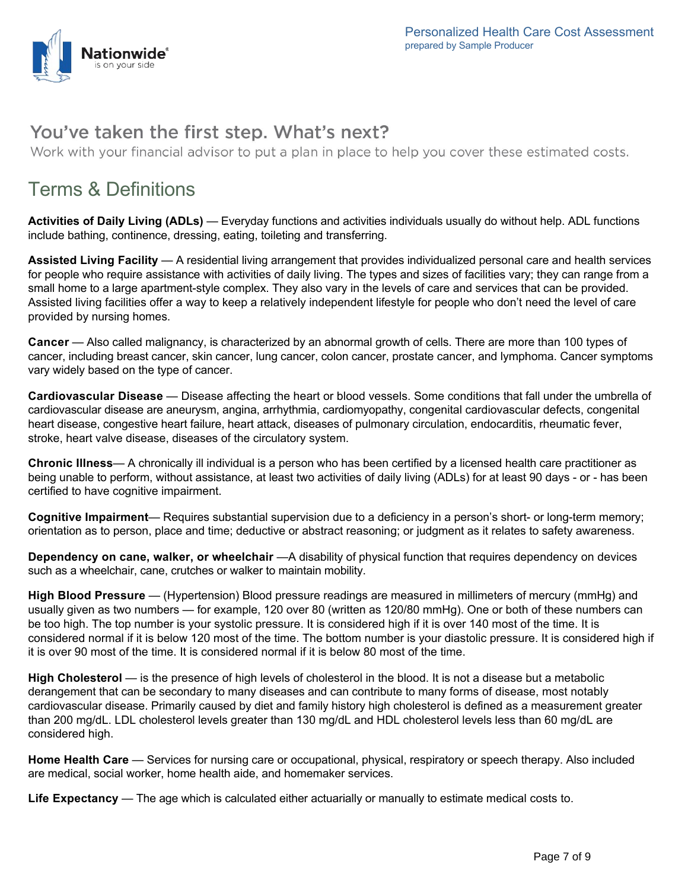

## You've taken the first step. What's next?

Work with your financial advisor to put a plan in place to help you cover these estimated costs.

# Terms & Definitions

**Activities of Daily Living (ADLs)** — Everyday functions and activities individuals usually do without help. ADL functions include bathing, continence, dressing, eating, toileting and transferring.

**Assisted Living Facility** — A residential living arrangement that provides individualized personal care and health services for people who require assistance with activities of daily living. The types and sizes of facilities vary; they can range from a small home to a large apartment-style complex. They also vary in the levels of care and services that can be provided. Assisted living facilities offer a way to keep a relatively independent lifestyle for people who don't need the level of care provided by nursing homes.

**Cancer** — Also called malignancy, is characterized by an abnormal growth of cells. There are more than 100 types of cancer, including breast cancer, skin cancer, lung cancer, colon cancer, prostate cancer, and lymphoma. Cancer symptoms vary widely based on the type of cancer.

**Cardiovascular Disease** — Disease affecting the heart or blood vessels. Some conditions that fall under the umbrella of cardiovascular disease are aneurysm, angina, arrhythmia, cardiomyopathy, congenital cardiovascular defects, congenital heart disease, congestive heart failure, heart attack, diseases of pulmonary circulation, endocarditis, rheumatic fever, stroke, heart valve disease, diseases of the circulatory system.

**Chronic Illness**— A chronically ill individual is a person who has been certified by a licensed health care practitioner as being unable to perform, without assistance, at least two activities of daily living (ADLs) for at least 90 days - or - has been certified to have cognitive impairment.

**Cognitive Impairment**— Requires substantial supervision due to a deficiency in a person's short- or long-term memory; orientation as to person, place and time; deductive or abstract reasoning; or judgment as it relates to safety awareness.

**Dependency on cane, walker, or wheelchair** —A disability of physical function that requires dependency on devices such as a wheelchair, cane, crutches or walker to maintain mobility.

**High Blood Pressure** — (Hypertension) Blood pressure readings are measured in millimeters of mercury (mmHg) and usually given as two numbers — for example, 120 over 80 (written as 120/80 mmHg). One or both of these numbers can be too high. The top number is your systolic pressure. It is considered high if it is over 140 most of the time. It is considered normal if it is below 120 most of the time. The bottom number is your diastolic pressure. It is considered high if it is over 90 most of the time. It is considered normal if it is below 80 most of the time.

**High Cholesterol** — is the presence of high levels of cholesterol in the blood. It is not a disease but a metabolic derangement that can be secondary to many diseases and can contribute to many forms of disease, most notably cardiovascular disease. Primarily caused by diet and family history high cholesterol is defined as a measurement greater than 200 mg/dL. LDL cholesterol levels greater than 130 mg/dL and HDL cholesterol levels less than 60 mg/dL are considered high.

**Home Health Care** — Services for nursing care or occupational, physical, respiratory or speech therapy. Also included are medical, social worker, home health aide, and homemaker services.

**Life Expectancy** — The age which is calculated either actuarially or manually to estimate medical costs to.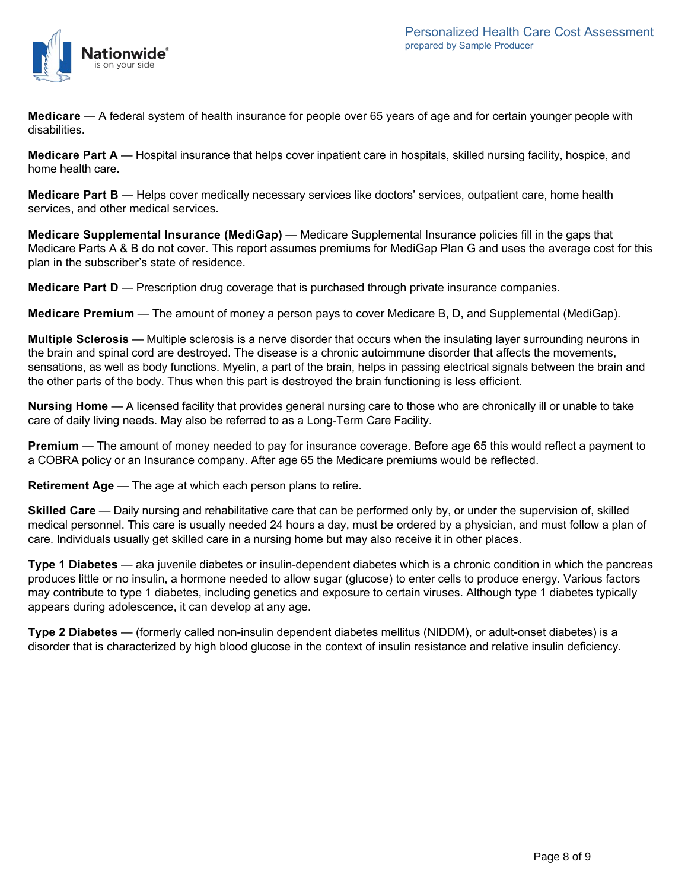

**Medicare** — A federal system of health insurance for people over 65 years of age and for certain younger people with disabilities.

**Medicare Part A** — Hospital insurance that helps cover inpatient care in hospitals, skilled nursing facility, hospice, and home health care.

**Medicare Part B** — Helps cover medically necessary services like doctors' services, outpatient care, home health services, and other medical services.

**Medicare Supplemental Insurance (MediGap)** — Medicare Supplemental Insurance policies fill in the gaps that Medicare Parts A & B do not cover. This report assumes premiums for MediGap Plan G and uses the average cost for this plan in the subscriber's state of residence.

**Medicare Part D** — Prescription drug coverage that is purchased through private insurance companies.

**Medicare Premium** — The amount of money a person pays to cover Medicare B, D, and Supplemental (MediGap).

**Multiple Sclerosis** — Multiple sclerosis is a nerve disorder that occurs when the insulating layer surrounding neurons in the brain and spinal cord are destroyed. The disease is a chronic autoimmune disorder that affects the movements, sensations, as well as body functions. Myelin, a part of the brain, helps in passing electrical signals between the brain and the other parts of the body. Thus when this part is destroyed the brain functioning is less efficient.

**Nursing Home** — A licensed facility that provides general nursing care to those who are chronically ill or unable to take care of daily living needs. May also be referred to as a Long-Term Care Facility.

**Premium** — The amount of money needed to pay for insurance coverage. Before age 65 this would reflect a payment to a COBRA policy or an Insurance company. After age 65 the Medicare premiums would be reflected.

**Retirement Age** — The age at which each person plans to retire.

**Skilled Care** — Daily nursing and rehabilitative care that can be performed only by, or under the supervision of, skilled medical personnel. This care is usually needed 24 hours a day, must be ordered by a physician, and must follow a plan of care. Individuals usually get skilled care in a nursing home but may also receive it in other places.

**Type 1 Diabetes** — aka juvenile diabetes or insulin-dependent diabetes which is a chronic condition in which the pancreas produces little or no insulin, a hormone needed to allow sugar (glucose) to enter cells to produce energy. Various factors may contribute to type 1 diabetes, including genetics and exposure to certain viruses. Although type 1 diabetes typically appears during adolescence, it can develop at any age.

**Type 2 Diabetes** — (formerly called non-insulin dependent diabetes mellitus (NIDDM), or adult-onset diabetes) is a disorder that is characterized by high blood glucose in the context of insulin resistance and relative insulin deficiency.